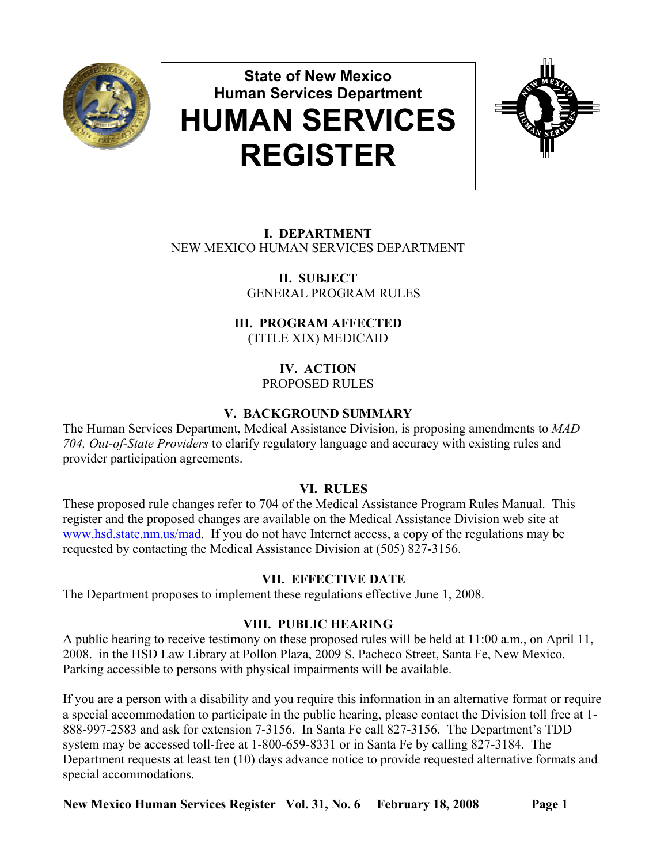

# **State of New Mexico Human Services Department HUMAN SERVICES REGISTER**



# **I. DEPARTMENT** NEW MEXICO HUMAN SERVICES DEPARTMENT

**II. SUBJECT** GENERAL PROGRAM RULES

**III. PROGRAM AFFECTED** (TITLE XIX) MEDICAID

> **IV. ACTION** PROPOSED RULES

# **V. BACKGROUND SUMMARY**

The Human Services Department, Medical Assistance Division, is proposing amendments to *MAD 704, Out-of-State Providers* to clarify regulatory language and accuracy with existing rules and provider participation agreements.

## **VI. RULES**

These proposed rule changes refer to 704 of the Medical Assistance Program Rules Manual. This register and the proposed changes are available on the Medical Assistance Division web site at [www.hsd.state.nm.us/mad](http://www.hsd.state.nm.us/mad). If you do not have Internet access, a copy of the regulations may be requested by contacting the Medical Assistance Division at (505) 827-3156.

# **VII. EFFECTIVE DATE**

The Department proposes to implement these regulations effective June 1, 2008.

# **VIII. PUBLIC HEARING**

A public hearing to receive testimony on these proposed rules will be held at 11:00 a.m., on April 11, 2008. in the HSD Law Library at Pollon Plaza, 2009 S. Pacheco Street, Santa Fe, New Mexico. Parking accessible to persons with physical impairments will be available.

If you are a person with a disability and you require this information in an alternative format or require a special accommodation to participate in the public hearing, please contact the Division toll free at 1- 888-997-2583 and ask for extension 7-3156. In Santa Fe call 827-3156. The Department's TDD system may be accessed toll-free at 1-800-659-8331 or in Santa Fe by calling 827-3184. The Department requests at least ten (10) days advance notice to provide requested alternative formats and special accommodations.

New Mexico Human Services Register Vol. 31, No. 6 February 18, 2008 Page 1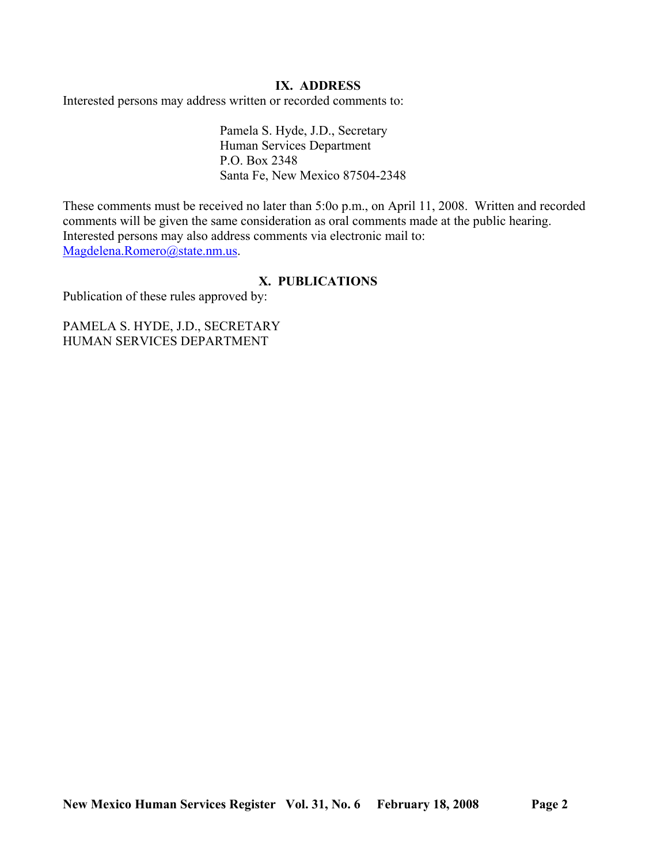#### **IX. ADDRESS**

Interested persons may address written or recorded comments to:

Pamela S. Hyde, J.D., Secretary Human Services Department P.O. Box 2348 Santa Fe, New Mexico 87504-2348

These comments must be received no later than 5:0o p.m., on April 11, 2008. Written and recorded comments will be given the same consideration as oral comments made at the public hearing. Interested persons may also address comments via electronic mail to: [Magdelena.Romero@state.nm.us.](mailto:Magdelena.Romero@state.nm.us)

## **X. PUBLICATIONS**

Publication of these rules approved by:

PAMELA S. HYDE, J.D., SECRETARY HUMAN SERVICES DEPARTMENT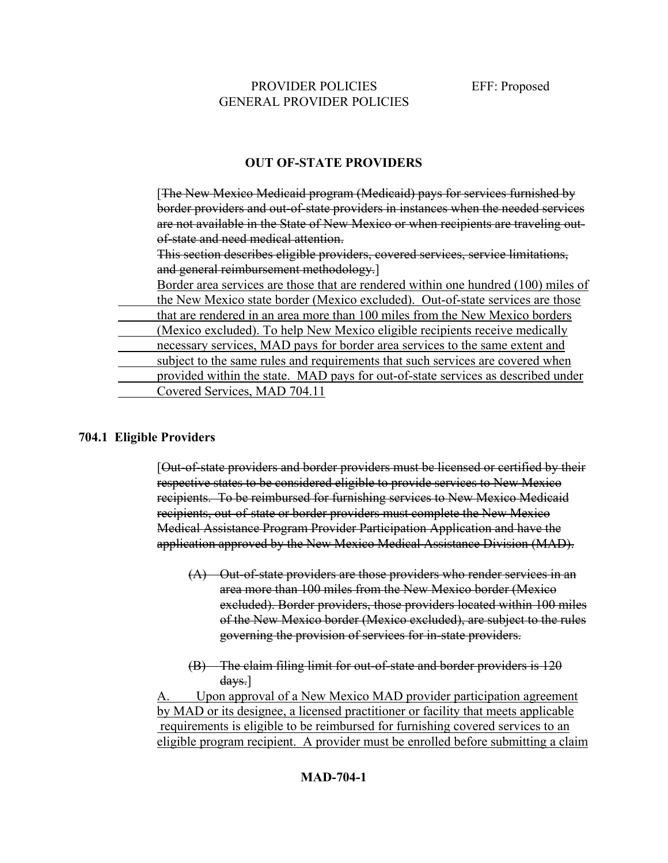# **OUT OF-STATE PROVIDERS**

| The New Mexico Medicaid program (Medicaid) pays for services furnished by          |
|------------------------------------------------------------------------------------|
| border providers and out-of-state providers in instances when the needed services  |
| are not available in the State of New Mexico or when recipients are traveling out- |
| of-state and need medical attention                                                |
| This section describes eligible providers, covered services, service limitations,  |
| and general reimbursement methodology.                                             |
| Border area services are those that are rendered within one hundred (100) miles of |
| the New Mexico state border (Mexico excluded). Out-of-state services are those     |
| that are rendered in an area more than 100 miles from the New Mexico borders       |
| (Mexico excluded). To help New Mexico eligible recipients receive medically        |
| necessary services, MAD pays for border area services to the same extent and       |
| subject to the same rules and requirements that such services are covered when     |
| provided within the state. MAD pays for out-of-state services as described under   |
| Covered Services, MAD 704.11                                                       |
|                                                                                    |

# **704.1 Eligible Providers**

[Out-of-state providers and border providers must be licensed or certified by their respective states to be considered eligible to provide services to New Mexico recipients. To be reimbursed for furnishing services to New Mexico Medicaid recipients, out-of-state or border providers must complete the New Mexico Medical Assistance Program Provider Participation Application and have the application approved by the New Mexico Medical Assistance Division (MAD).

- (A) Out-of-state providers are those providers who render services in an area more than 100 miles from the New Mexico border (Mexico excluded). Border providers, those providers located within 100 miles of the New Mexico border (Mexico excluded), are subject to the rules governing the provision of services for in-state providers.
- (B) The claim filing limit for out-of-state and border providers is 120 days.]

A. Upon approval of a New Mexico MAD provider participation agreement by MAD or its designee, a licensed practitioner or facility that meets applicable requirements is eligible to be reimbursed for furnishing covered services to an eligible program recipient. A provider must be enrolled before submitting a claim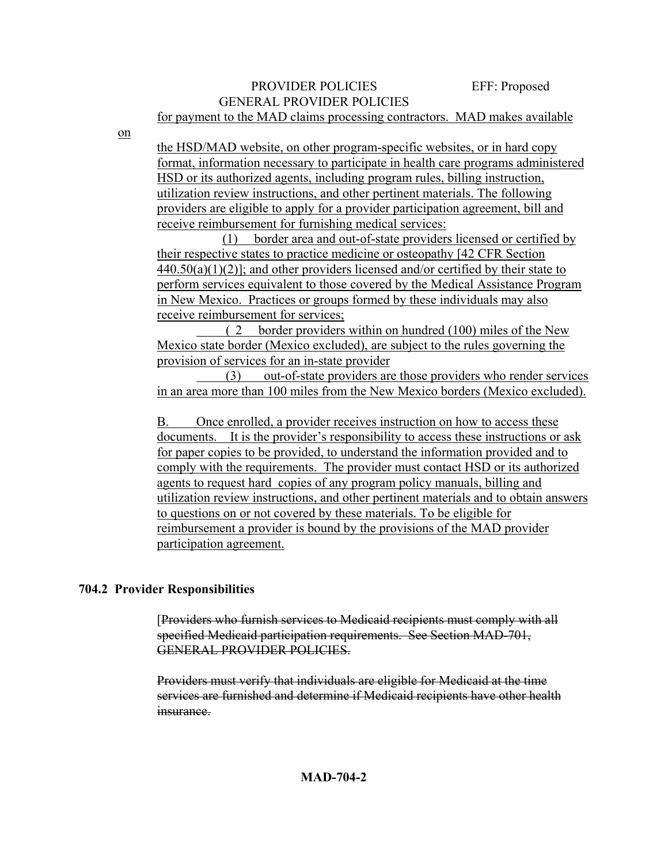#### PROVIDER POLICIES EFF: Proposed GENERAL PROVIDER POLICIES for payment to the MAD claims processing contractors. MAD makes available

on

the HSD/MAD website, on other program-specific websites, or in hard copy format, information necessary to participate in health care programs administered HSD or its authorized agents, including program rules, billing instruction, utilization review instructions, and other pertinent materials. The following providers are eligible to apply for a provider participation agreement, bill and receive reimbursement for furnishing medical services:

(1) border area and out-of-state providers licensed or certified by their respective states to practice medicine or osteopathy [42 CFR Section  $440.50(a)(1)(2)$ ; and other providers licensed and/or certified by their state to perform services equivalent to those covered by the Medical Assistance Program in New Mexico. Practices or groups formed by these individuals may also receive reimbursement for services;

 ( 2 border providers within on hundred (100) miles of the New Mexico state border (Mexico excluded), are subject to the rules governing the provision of services for an in-state provider

 (3) out-of-state providers are those providers who render services in an area more than 100 miles from the New Mexico borders (Mexico excluded).

B. Once enrolled, a provider receives instruction on how to access these documents. It is the provider's responsibility to access these instructions or ask for paper copies to be provided, to understand the information provided and to comply with the requirements. The provider must contact HSD or its authorized agents to request hard copies of any program policy manuals, billing and utilization review instructions, and other pertinent materials and to obtain answers to questions on or not covered by these materials. To be eligible for reimbursement a provider is bound by the provisions of the MAD provider participation agreement.

## **704.2 Provider Responsibilities**

[Providers who furnish services to Medicaid recipients must comply with all specified Medicaid participation requirements. See Section MAD-701, GENERAL PROVIDER POLICIES.

Providers must verify that individuals are eligible for Medicaid at the time services are furnished and determine if Medicaid recipients have other health insurance.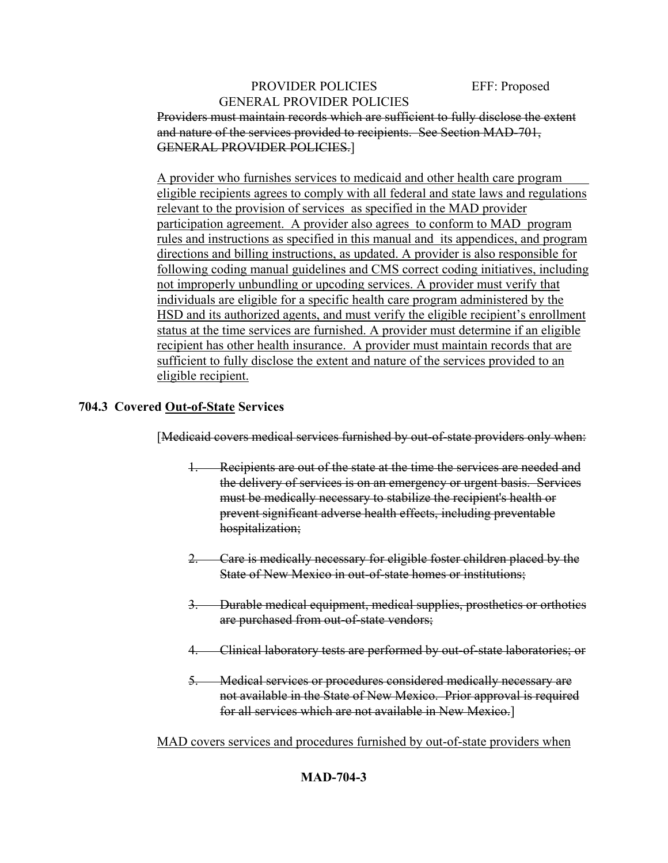Providers must maintain records which are sufficient to fully disclose the extent and nature of the services provided to recipients. See Section MAD-701, GENERAL PROVIDER POLICIES.]

A provider who furnishes services to medicaid and other health care program eligible recipients agrees to comply with all federal and state laws and regulations relevant to the provision of services as specified in the MAD provider participation agreement. A provider also agrees to conform to MAD program rules and instructions as specified in this manual and its appendices, and program directions and billing instructions, as updated. A provider is also responsible for following coding manual guidelines and CMS correct coding initiatives, including not improperly unbundling or upcoding services. A provider must verify that individuals are eligible for a specific health care program administered by the HSD and its authorized agents, and must verify the eligible recipient's enrollment status at the time services are furnished. A provider must determine if an eligible recipient has other health insurance. A provider must maintain records that are sufficient to fully disclose the extent and nature of the services provided to an eligible recipient.

## **704.3 Covered Out-of-State Services**

[Medicaid covers medical services furnished by out-of-state providers only when:

- 1. Recipients are out of the state at the time the services are needed and the delivery of services is on an emergency or urgent basis. Services must be medically necessary to stabilize the recipient's health or prevent significant adverse health effects, including preventable hospitalization;
- 2. Care is medically necessary for eligible foster children placed by the State of New Mexico in out-of-state homes or institutions;
- 3. Durable medical equipment, medical supplies, prosthetics or orthotics are purchased from out-of-state vendors;
- 4. Clinical laboratory tests are performed by out-of-state laboratories; or
- 5. Medical services or procedures considered medically necessary are not available in the State of New Mexico. Prior approval is required for all services which are not available in New Mexico.]

MAD covers services and procedures furnished by out-of-state providers when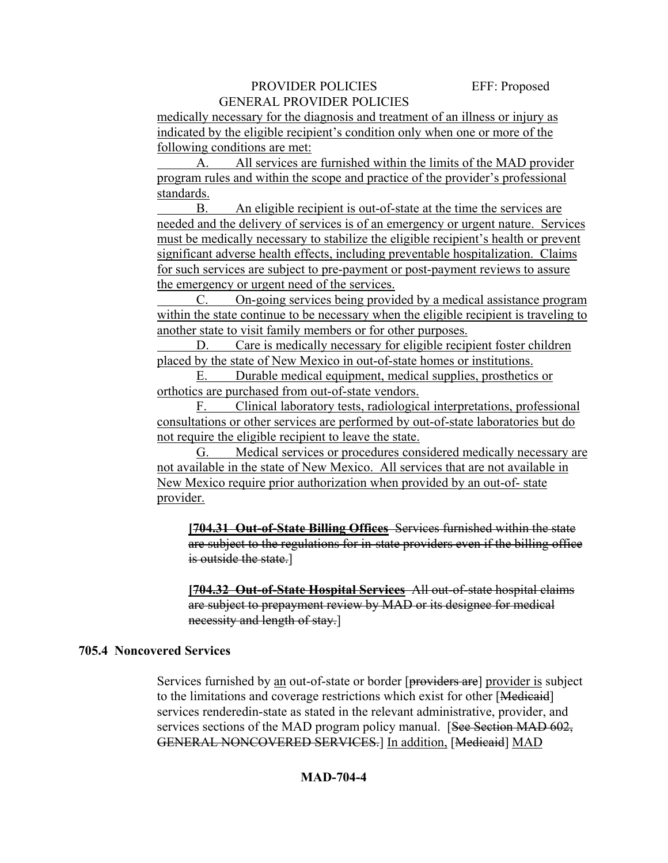medically necessary for the diagnosis and treatment of an illness or injury as indicated by the eligible recipient's condition only when one or more of the following conditions are met:

A. All services are furnished within the limits of the MAD provider program rules and within the scope and practice of the provider's professional standards.

B. An eligible recipient is out-of-state at the time the services are needed and the delivery of services is of an emergency or urgent nature. Services must be medically necessary to stabilize the eligible recipient's health or prevent significant adverse health effects, including preventable hospitalization. Claims for such services are subject to pre-payment or post-payment reviews to assure the emergency or urgent need of the services.

C. On-going services being provided by a medical assistance program within the state continue to be necessary when the eligible recipient is traveling to another state to visit family members or for other purposes.

D. Care is medically necessary for eligible recipient foster children placed by the state of New Mexico in out-of-state homes or institutions.

E. Durable medical equipment, medical supplies, prosthetics or orthotics are purchased from out-of-state vendors.

F. Clinical laboratory tests, radiological interpretations, professional consultations or other services are performed by out-of-state laboratories but do not require the eligible recipient to leave the state.

G. Medical services or procedures considered medically necessary are not available in the state of New Mexico. All services that are not available in New Mexico require prior authorization when provided by an out-of- state provider.

**[704.31 Out-of-State Billing Offices** Services furnished within the state are subject to the regulations for in-state providers even if the billing office is outside the state.]

**[704.32 Out-of-State Hospital Services** All out-of-state hospital claims are subject to prepayment review by MAD or its designee for medical necessity and length of stay.]

#### **705.4 Noncovered Services**

Services furnished by an out-of-state or border [providers are] provider is subject to the limitations and coverage restrictions which exist for other [Medicaid] services renderedin-state as stated in the relevant administrative, provider, and services sections of the MAD program policy manual. [See Section MAD 602, GENERAL NONCOVERED SERVICES.] In addition, [Medicaid] MAD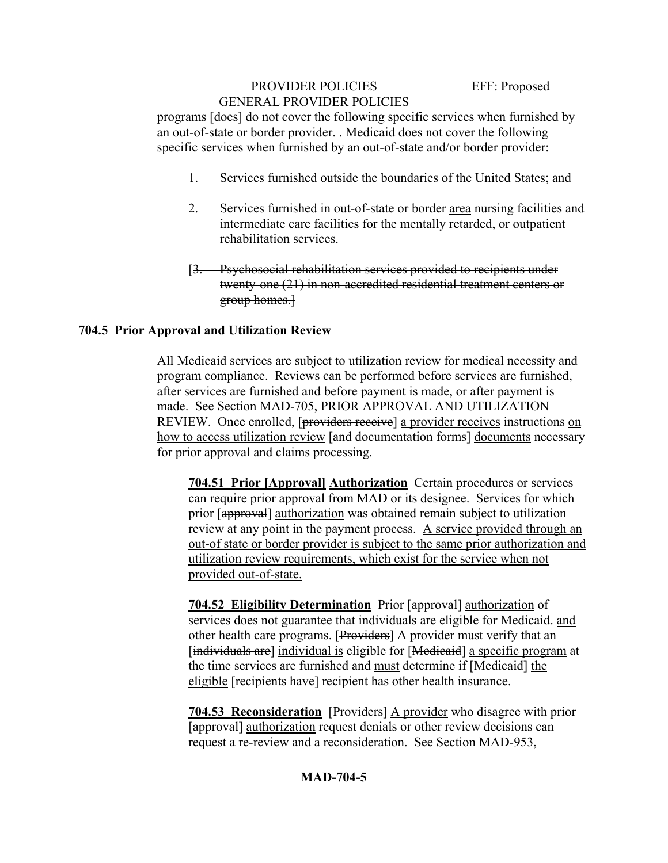programs [does] do not cover the following specific services when furnished by an out-of-state or border provider. . Medicaid does not cover the following specific services when furnished by an out-of-state and/or border provider:

- 1. Services furnished outside the boundaries of the United States; and
- 2. Services furnished in out-of-state or border area nursing facilities and intermediate care facilities for the mentally retarded, or outpatient rehabilitation services.
- [3. Psychosocial rehabilitation services provided to recipients under twenty-one (21) in non-accredited residential treatment centers or group homes.]

## **704.5 Prior Approval and Utilization Review**

All Medicaid services are subject to utilization review for medical necessity and program compliance. Reviews can be performed before services are furnished, after services are furnished and before payment is made, or after payment is made. See Section MAD-705, PRIOR APPROVAL AND UTILIZATION REVIEW. Once enrolled, [providers receive] a provider receives instructions on how to access utilization review [and documentation forms] documents necessary for prior approval and claims processing.

**704.51 Prior [Approval] Authorization** Certain procedures or services can require prior approval from MAD or its designee. Services for which prior [approval] authorization was obtained remain subject to utilization review at any point in the payment process. A service provided through an out-of state or border provider is subject to the same prior authorization and utilization review requirements, which exist for the service when not provided out-of-state.

**704.52 Eligibility Determination** Prior [approval] authorization of services does not guarantee that individuals are eligible for Medicaid. and other health care programs. [Providers] A provider must verify that an [individuals are] individual is eligible for [Medicaid] a specific program at the time services are furnished and must determine if [Medicaid] the eligible [recipients have] recipient has other health insurance.

**704.53 Reconsideration** [Providers] A provider who disagree with prior [approval] authorization request denials or other review decisions can request a re-review and a reconsideration. See Section MAD-953,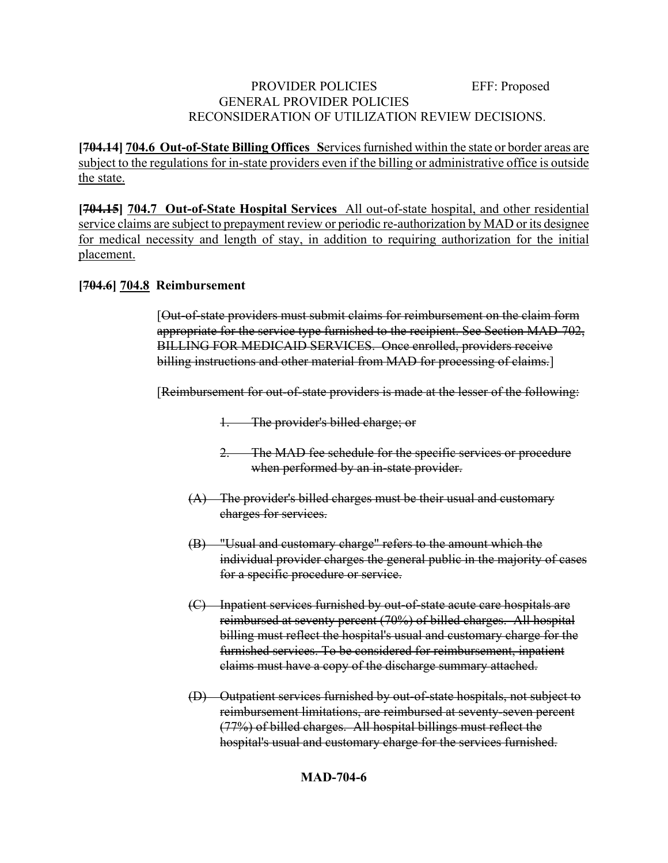## PROVIDER POLICIES EFF: Proposed GENERAL PROVIDER POLICIES RECONSIDERATION OF UTILIZATION REVIEW DECISIONS.

**[704.14] 704.6 Out-of-State Billing Offices S**ervices furnished within the state or border areas are subject to the regulations for in-state providers even if the billing or administrative office is outside the state.

**[704.15] 704.7 Out-of-State Hospital Services** All out-of-state hospital, and other residential service claims are subject to prepayment review or periodic re-authorization by MAD or its designee for medical necessity and length of stay, in addition to requiring authorization for the initial placement.

# **[704.6] 704.8 Reimbursement**

[Out-of-state providers must submit claims for reimbursement on the claim form appropriate for the service type furnished to the recipient. See Section MAD-702, BILLING FOR MEDICAID SERVICES. Once enrolled, providers receive billing instructions and other material from MAD for processing of claims.

[Reimbursement for out-of-state providers is made at the lesser of the following:

- 1. The provider's billed charge; or
- 2. The MAD fee schedule for the specific services or procedure when performed by an in-state provider.
- (A) The provider's billed charges must be their usual and customary charges for services.
- (B) "Usual and customary charge" refers to the amount which the individual provider charges the general public in the majority of cases for a specific procedure or service.
- (C) Inpatient services furnished by out-of-state acute care hospitals are reimbursed at seventy percent (70%) of billed charges. All hospital billing must reflect the hospital's usual and customary charge for the furnished services. To be considered for reimbursement, inpatient claims must have a copy of the discharge summary attached.
- (D) Outpatient services furnished by out-of-state hospitals, not subject to reimbursement limitations, are reimbursed at seventy-seven percent (77%) of billed charges. All hospital billings must reflect the hospital's usual and customary charge for the services furnished.